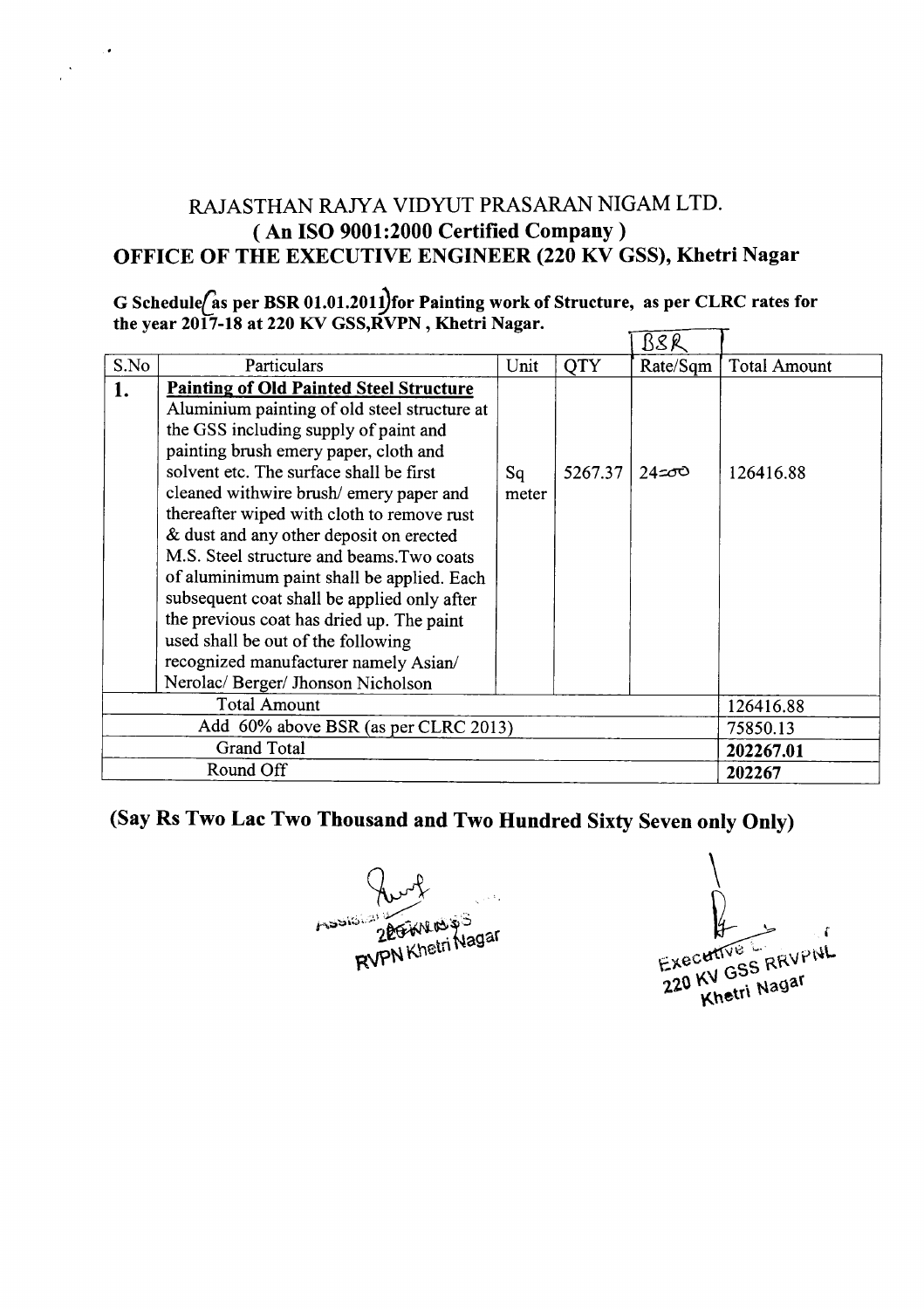## RAJASTHAN *RAN* A VIDYUT PRASARAN NIGAM LTD. ( An ISO 9001 :2000 Certified Company) OFFICE OF THE EXECUTIVE ENGINEER (220 KV GSS), Khetri Nagar

## G Schedule/as per BSR 01.01.2011)for Painting work of Structure, as per CLRC rates for<br>the year 2017-18 at 220 KV GSS,RVPN , Khetri Nagar.  $\overline{\mathbf{T}}$

|                                      |                                                                                                                                                                                                                                                                                                                                                                                                                                                                                                                                                                                                                                                                          |             |         | BSK      |                     |
|--------------------------------------|--------------------------------------------------------------------------------------------------------------------------------------------------------------------------------------------------------------------------------------------------------------------------------------------------------------------------------------------------------------------------------------------------------------------------------------------------------------------------------------------------------------------------------------------------------------------------------------------------------------------------------------------------------------------------|-------------|---------|----------|---------------------|
| S.No                                 | Particulars                                                                                                                                                                                                                                                                                                                                                                                                                                                                                                                                                                                                                                                              | Unit        | QTY     | Rate/Sqm | <b>Total Amount</b> |
| 1.                                   | <b>Painting of Old Painted Steel Structure</b><br>Aluminium painting of old steel structure at<br>the GSS including supply of paint and<br>painting brush emery paper, cloth and<br>solvent etc. The surface shall be first<br>cleaned withwire brush/emery paper and<br>thereafter wiped with cloth to remove rust<br>& dust and any other deposit on erected<br>M.S. Steel structure and beams. Two coats<br>of aluminimum paint shall be applied. Each<br>subsequent coat shall be applied only after<br>the previous coat has dried up. The paint<br>used shall be out of the following<br>recognized manufacturer namely Asian/<br>Nerolac/Berger/Jhonson Nicholson | Sq<br>meter | 5267.37 | $24 = 0$ | 126416.88           |
| <b>Total Amount</b>                  |                                                                                                                                                                                                                                                                                                                                                                                                                                                                                                                                                                                                                                                                          |             |         |          | 126416.88           |
| Add 60% above BSR (as per CLRC 2013) |                                                                                                                                                                                                                                                                                                                                                                                                                                                                                                                                                                                                                                                                          |             |         |          | 75850.13            |
| <b>Grand Total</b>                   |                                                                                                                                                                                                                                                                                                                                                                                                                                                                                                                                                                                                                                                                          |             |         |          | 202267.01           |
| Round Off                            |                                                                                                                                                                                                                                                                                                                                                                                                                                                                                                                                                                                                                                                                          |             |         |          | 202267              |

## (Say Rs Two Lac Two Thousand and Two Hundred Sixty Seven only Only)

Aughter Magar

Executive RRVPNL Exece KV GSS IV.<br>Khetri Nagar